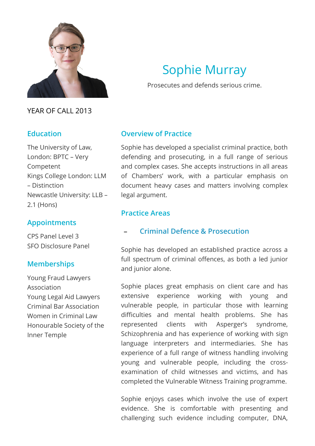

YEAR OF CALL 2013

## **Education**

The University of Law, London: BPTC – Very Competent Kings College London: LLM – Distinction Newcastle University: LLB – 2.1 (Hons)

# **Appointments**

CPS Panel Level 3 SFO Disclosure Panel

# **Memberships**

Young Fraud Lawyers Association Young Legal Aid Lawyers Criminal Bar Association Women in Criminal Law Honourable Society of the Inner Temple

# Sophie Murray

Prosecutes and defends serious crime.

## **Overview of Practice**

Sophie has developed a specialist criminal practice, both defending and prosecuting, in a full range of serious and complex cases. She accepts instructions in all areas of Chambers' work, with a particular emphasis on document heavy cases and matters involving complex legal argument.

## **Practice Areas**

# **[Criminal Defence & Prosecution](#page-0-0)**

<span id="page-0-0"></span>Sophie has developed an established practice across a full spectrum of criminal offences, as both a led junior and junior alone.

Sophie places great emphasis on client care and has extensive experience working with young and vulnerable people, in particular those with learning difficulties and mental health problems. She has represented clients with Asperger's syndrome, Schizophrenia and has experience of working with sign language interpreters and intermediaries. She has experience of a full range of witness handling involving young and vulnerable people, including the crossexamination of child witnesses and victims, and has completed the Vulnerable Witness Training programme.

Sophie enjoys cases which involve the use of expert evidence. She is comfortable with presenting and challenging such evidence including computer, DNA,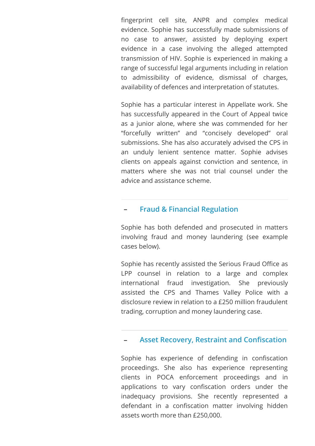fingerprint cell site, ANPR and complex medical evidence. Sophie has successfully made submissions of no case to answer, assisted by deploying expert evidence in a case involving the alleged attempted transmission of HIV. Sophie is experienced in making a range of successful legal arguments including in relation to admissibility of evidence, dismissal of charges, availability of defences and interpretation of statutes.

Sophie has a particular interest in Appellate work. She has successfully appeared in the Court of Appeal twice as a junior alone, where she was commended for her "forcefully written" and "concisely developed" oral submissions. She has also accurately advised the CPS in an unduly lenient sentence matter. Sophie advises clients on appeals against conviction and sentence, in matters where she was not trial counsel under the advice and assistance scheme.

#### **[Fraud & Financial Regulation](#page-1-0)**

<span id="page-1-0"></span>Sophie has both defended and prosecuted in matters involving fraud and money laundering (see example cases below).

Sophie has recently assisted the Serious Fraud Office as LPP counsel in relation to a large and complex international fraud investigation. She previously assisted the CPS and Thames Valley Police with a disclosure review in relation to a £250 million fraudulent trading, corruption and money laundering case.

#### **Asset Recovery, Restraint and Confiscation**

<span id="page-1-1"></span>Sophie has experience of defending in confiscation proceedings. She also has experience representing clients in POCA enforcement proceedings and in applications to vary confiscation orders under the inadequacy provisions. She recently represented a defendant in a confiscation matter involving hidden assets worth more than £250,000.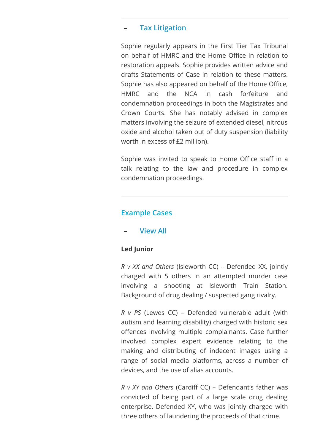## **[Tax Litigation](#page-2-0)**

<span id="page-2-0"></span>Sophie regularly appears in the First Tier Tax Tribunal on behalf of HMRC and the Home Office in relation to restoration appeals. Sophie provides written advice and drafts Statements of Case in relation to these matters. Sophie has also appeared on behalf of the Home Office, HMRC and the NCA in cash forfeiture and condemnation proceedings in both the Magistrates and Crown Courts. She has notably advised in complex matters involving the seizure of extended diesel, nitrous oxide and alcohol taken out of duty suspension (liability worth in excess of £2 million).

Sophie was invited to speak to Home Office staff in a talk relating to the law and procedure in complex condemnation proceedings.

## **Example Cases**

## **[View All](#page-2-1)**

## <span id="page-2-1"></span>**Led Junior**

*R v XX and Others* (Isleworth CC) – Defended XX, jointly charged with 5 others in an attempted murder case involving a shooting at Isleworth Train Station. Background of drug dealing / suspected gang rivalry.

*R v PS* (Lewes CC) – Defended vulnerable adult (with autism and learning disability) charged with historic sex offences involving multiple complainants. Case further involved complex expert evidence relating to the making and distributing of indecent images using a range of social media platforms, across a number of devices, and the use of alias accounts.

*R v XY and Others* (Cardiff CC) – Defendant's father was convicted of being part of a large scale drug dealing enterprise. Defended XY, who was jointly charged with three others of laundering the proceeds of that crime.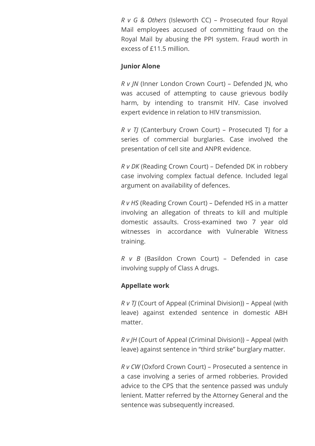*R v G & Others* (Isleworth CC) – Prosecuted four Royal Mail employees accused of committing fraud on the Royal Mail by abusing the PPI system. Fraud worth in excess of £11.5 million.

#### **Junior Alone**

*R v JN* (Inner London Crown Court) – Defended JN, who was accused of attempting to cause grievous bodily harm, by intending to transmit HIV. Case involved expert evidence in relation to HIV transmission.

*R v TJ* (Canterbury Crown Court) – Prosecuted TJ for a series of commercial burglaries. Case involved the presentation of cell site and ANPR evidence.

*R v DK* (Reading Crown Court) – Defended DK in robbery case involving complex factual defence. Included legal argument on availability of defences.

*R v HS* (Reading Crown Court) – Defended HS in a matter involving an allegation of threats to kill and multiple domestic assaults. Cross-examined two 7 year old witnesses in accordance with Vulnerable Witness training.

*R v B* (Basildon Crown Court) – Defended in case involving supply of Class A drugs.

## **Appellate work**

*R v TJ* (Court of Appeal (Criminal Division)) – Appeal (with leave) against extended sentence in domestic ABH matter.

*R v JH* (Court of Appeal (Criminal Division)) – Appeal (with leave) against sentence in "third strike" burglary matter.

*R v CW* (Oxford Crown Court) – Prosecuted a sentence in a case involving a series of armed robberies. Provided advice to the CPS that the sentence passed was unduly lenient. Matter referred by the Attorney General and the sentence was subsequently increased.